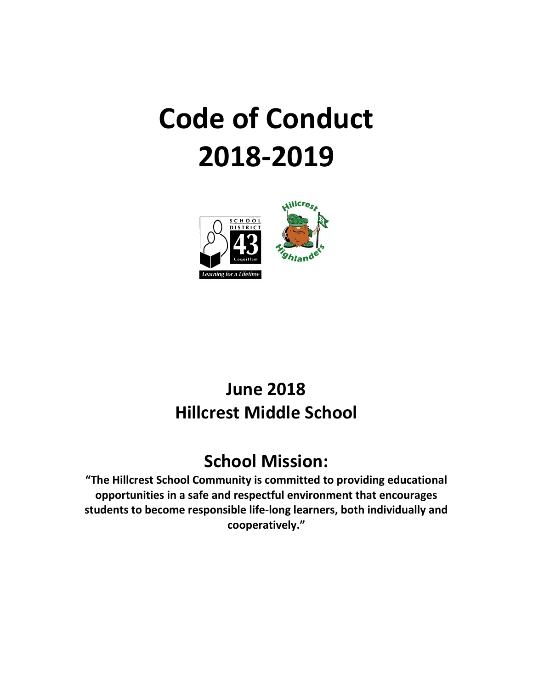# **Code of Conduct 2018-2019**



## **June 2018 Hillcrest Middle School**

## **School Mission:**

**"The Hillcrest School Community is committed to providing educational opportunities in a safe and respectful environment that encourages students to become responsible life-long learners, both individually and cooperatively."**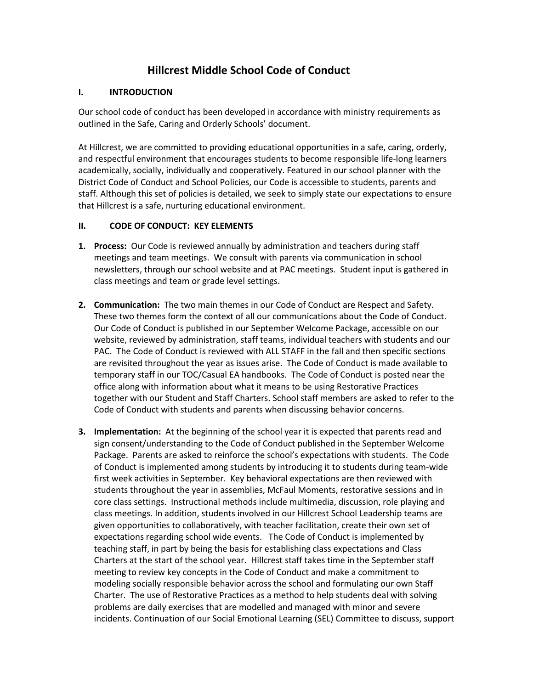### **Hillcrest Middle School Code of Conduct**

#### **I. INTRODUCTION**

Our school code of conduct has been developed in accordance with ministry requirements as outlined in the Safe, Caring and Orderly Schools' document.

At Hillcrest, we are committed to providing educational opportunities in a safe, caring, orderly, and respectful environment that encourages students to become responsible life-long learners academically, socially, individually and cooperatively. Featured in our school planner with the District Code of Conduct and School Policies, our Code is accessible to students, parents and staff. Although this set of policies is detailed, we seek to simply state our expectations to ensure that Hillcrest is a safe, nurturing educational environment.

#### **II. CODE OF CONDUCT: KEY ELEMENTS**

- **1. Process:** Our Code is reviewed annually by administration and teachers during staff meetings and team meetings. We consult with parents via communication in school newsletters, through our school website and at PAC meetings. Student input is gathered in class meetings and team or grade level settings.
- **2. Communication:** The two main themes in our Code of Conduct are Respect and Safety. These two themes form the context of all our communications about the Code of Conduct. Our Code of Conduct is published in our September Welcome Package, accessible on our website, reviewed by administration, staff teams, individual teachers with students and our PAC. The Code of Conduct is reviewed with ALL STAFF in the fall and then specific sections are revisited throughout the year as issues arise. The Code of Conduct is made available to temporary staff in our TOC/Casual EA handbooks. The Code of Conduct is posted near the office along with information about what it means to be using Restorative Practices together with our Student and Staff Charters. School staff members are asked to refer to the Code of Conduct with students and parents when discussing behavior concerns.
- **3. Implementation:** At the beginning of the school year it is expected that parents read and sign consent/understanding to the Code of Conduct published in the September Welcome Package. Parents are asked to reinforce the school's expectations with students. The Code of Conduct is implemented among students by introducing it to students during team-wide first week activities in September. Key behavioral expectations are then reviewed with students throughout the year in assemblies, McFaul Moments, restorative sessions and in core class settings. Instructional methods include multimedia, discussion, role playing and class meetings. In addition, students involved in our Hillcrest School Leadership teams are given opportunities to collaboratively, with teacher facilitation, create their own set of expectations regarding school wide events. The Code of Conduct is implemented by teaching staff, in part by being the basis for establishing class expectations and Class Charters at the start of the school year. Hillcrest staff takes time in the September staff meeting to review key concepts in the Code of Conduct and make a commitment to modeling socially responsible behavior across the school and formulating our own Staff Charter. The use of Restorative Practices as a method to help students deal with solving problems are daily exercises that are modelled and managed with minor and severe incidents. Continuation of our Social Emotional Learning (SEL) Committee to discuss, support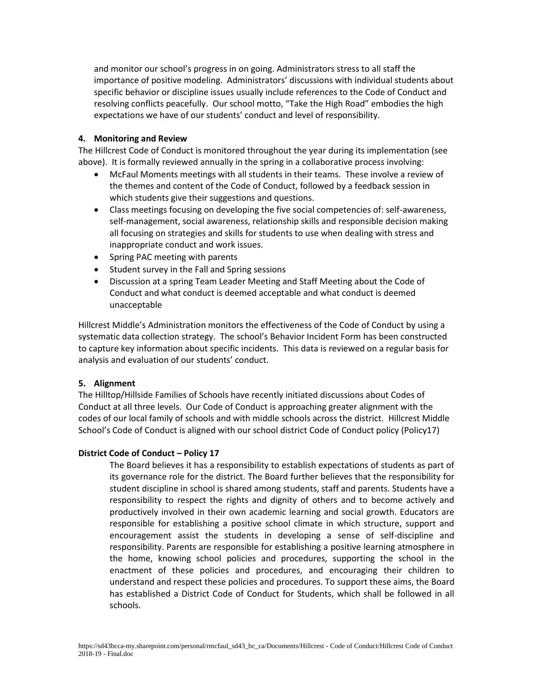and monitor our school's progress in on going. Administrators stress to all staff the importance of positive modeling. Administrators' discussions with individual students about specific behavior or discipline issues usually include references to the Code of Conduct and resolving conflicts peacefully. Our school motto, "Take the High Road" embodies the high expectations we have of our students' conduct and level of responsibility.

#### **4. Monitoring and Review**

The Hillcrest Code of Conduct is monitored throughout the year during its implementation (see above). It is formally reviewed annually in the spring in a collaborative process involving:

- McFaul Moments meetings with all students in their teams. These involve a review of the themes and content of the Code of Conduct, followed by a feedback session in which students give their suggestions and questions.
- Class meetings focusing on developing the five social competencies of: self-awareness, self-management, social awareness, relationship skills and responsible decision making all focusing on strategies and skills for students to use when dealing with stress and inappropriate conduct and work issues.
- Spring PAC meeting with parents
- Student survey in the Fall and Spring sessions
- Discussion at a spring Team Leader Meeting and Staff Meeting about the Code of Conduct and what conduct is deemed acceptable and what conduct is deemed unacceptable

Hillcrest Middle's Administration monitors the effectiveness of the Code of Conduct by using a systematic data collection strategy. The school's Behavior Incident Form has been constructed to capture key information about specific incidents. This data is reviewed on a regular basis for analysis and evaluation of our students' conduct.

#### **5. Alignment**

The Hilltop/Hillside Families of Schools have recently initiated discussions about Codes of Conduct at all three levels. Our Code of Conduct is approaching greater alignment with the codes of our local family of schools and with middle schools across the district. Hillcrest Middle School's Code of Conduct is aligned with our school district Code of Conduct policy (Policy17)

#### **District Code of Conduct – Policy 17**

The Board believes it has a responsibility to establish expectations of students as part of its governance role for the district. The Board further believes that the responsibility for student discipline in school is shared among students, staff and parents. Students have a responsibility to respect the rights and dignity of others and to become actively and productively involved in their own academic learning and social growth. Educators are responsible for establishing a positive school climate in which structure, support and encouragement assist the students in developing a sense of self-discipline and responsibility. Parents are responsible for establishing a positive learning atmosphere in the home, knowing school policies and procedures, supporting the school in the enactment of these policies and procedures, and encouraging their children to understand and respect these policies and procedures. To support these aims, the Board has established a District Code of Conduct for Students, which shall be followed in all schools.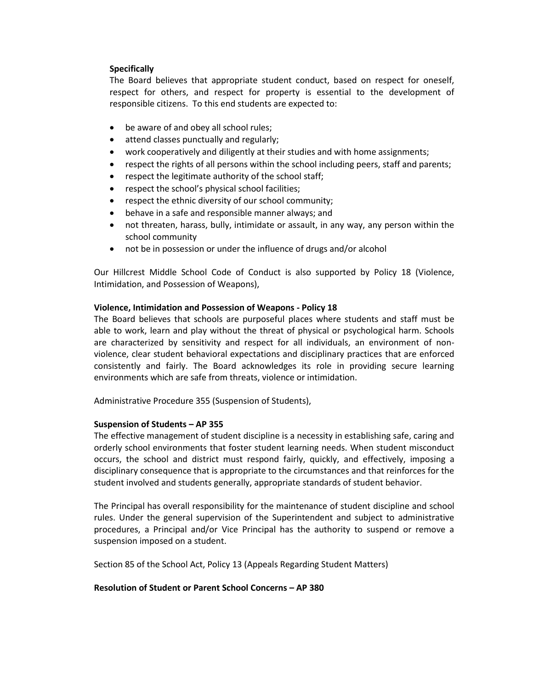#### **Specifically**

The Board believes that appropriate student conduct, based on respect for oneself, respect for others, and respect for property is essential to the development of responsible citizens. To this end students are expected to:

- be aware of and obey all school rules;
- attend classes punctually and regularly;
- work cooperatively and diligently at their studies and with home assignments;
- respect the rights of all persons within the school including peers, staff and parents;
- respect the legitimate authority of the school staff;
- respect the school's physical school facilities;
- respect the ethnic diversity of our school community;
- behave in a safe and responsible manner always; and
- not threaten, harass, bully, intimidate or assault, in any way, any person within the school community
- not be in possession or under the influence of drugs and/or alcohol

Our Hillcrest Middle School Code of Conduct is also supported by Policy 18 (Violence, Intimidation, and Possession of Weapons),

#### **Violence, Intimidation and Possession of Weapons - Policy 18**

The Board believes that schools are purposeful places where students and staff must be able to work, learn and play without the threat of physical or psychological harm. Schools are characterized by sensitivity and respect for all individuals, an environment of nonviolence, clear student behavioral expectations and disciplinary practices that are enforced consistently and fairly. The Board acknowledges its role in providing secure learning environments which are safe from threats, violence or intimidation.

Administrative Procedure 355 (Suspension of Students),

#### **Suspension of Students – AP 355**

The effective management of student discipline is a necessity in establishing safe, caring and orderly school environments that foster student learning needs. When student misconduct occurs, the school and district must respond fairly, quickly, and effectively, imposing a disciplinary consequence that is appropriate to the circumstances and that reinforces for the student involved and students generally, appropriate standards of student behavior.

The Principal has overall responsibility for the maintenance of student discipline and school rules. Under the general supervision of the Superintendent and subject to administrative procedures, a Principal and/or Vice Principal has the authority to suspend or remove a suspension imposed on a student.

Section 85 of the School Act, Policy 13 (Appeals Regarding Student Matters)

#### **Resolution of Student or Parent School Concerns – AP 380**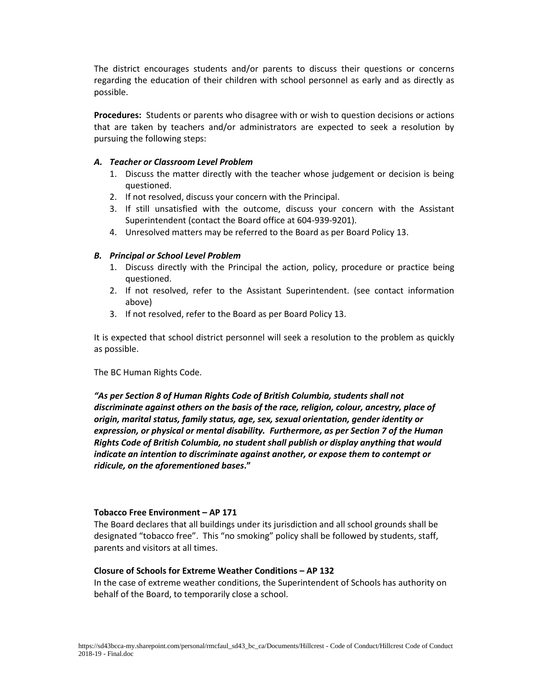The district encourages students and/or parents to discuss their questions or concerns regarding the education of their children with school personnel as early and as directly as possible.

**Procedures:** Students or parents who disagree with or wish to question decisions or actions that are taken by teachers and/or administrators are expected to seek a resolution by pursuing the following steps:

#### *A. Teacher or Classroom Level Problem*

- 1. Discuss the matter directly with the teacher whose judgement or decision is being questioned.
- 2. If not resolved, discuss your concern with the Principal.
- 3. If still unsatisfied with the outcome, discuss your concern with the Assistant Superintendent (contact the Board office at 604-939-9201).
- 4. Unresolved matters may be referred to the Board as per Board Policy 13.

#### *B. Principal or School Level Problem*

- 1. Discuss directly with the Principal the action, policy, procedure or practice being questioned.
- 2. If not resolved, refer to the Assistant Superintendent. (see contact information above)
- 3. If not resolved, refer to the Board as per Board Policy 13.

It is expected that school district personnel will seek a resolution to the problem as quickly as possible.

The BC Human Rights Code.

*"As per Section 8 of Human Rights Code of British Columbia, students shall not discriminate against others on the basis of the race, religion, colour, ancestry, place of origin, marital status, family status, age, sex, sexual orientation, gender identity or expression, or physical or mental disability. Furthermore, as per Section 7 of the Human Rights Code of British Columbia, no student shall publish or display anything that would indicate an intention to discriminate against another, or expose them to contempt or ridicule, on the aforementioned bases***."**

#### **Tobacco Free Environment – AP 171**

The Board declares that all buildings under its jurisdiction and all school grounds shall be designated "tobacco free". This "no smoking" policy shall be followed by students, staff, parents and visitors at all times.

#### **Closure of Schools for Extreme Weather Conditions – AP 132**

In the case of extreme weather conditions, the Superintendent of Schools has authority on behalf of the Board, to temporarily close a school.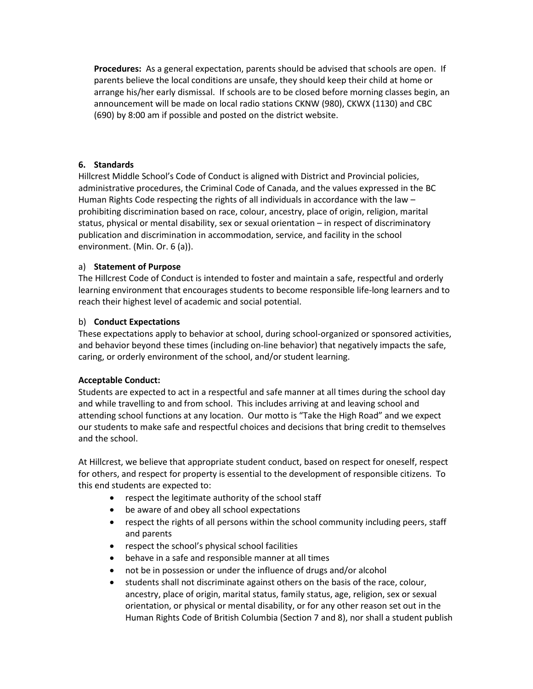**Procedures:** As a general expectation, parents should be advised that schools are open. If parents believe the local conditions are unsafe, they should keep their child at home or arrange his/her early dismissal. If schools are to be closed before morning classes begin, an announcement will be made on local radio stations CKNW (980), CKWX (1130) and CBC (690) by 8:00 am if possible and posted on the district website.

#### **6. Standards**

Hillcrest Middle School's Code of Conduct is aligned with District and Provincial policies, administrative procedures, the Criminal Code of Canada, and the values expressed in the BC Human Rights Code respecting the rights of all individuals in accordance with the law – prohibiting discrimination based on race, colour, ancestry, place of origin, religion, marital status, physical or mental disability, sex or sexual orientation – in respect of discriminatory publication and discrimination in accommodation, service, and facility in the school environment. (Min. Or. 6 (a)).

#### a) **Statement of Purpose**

The Hillcrest Code of Conduct is intended to foster and maintain a safe, respectful and orderly learning environment that encourages students to become responsible life-long learners and to reach their highest level of academic and social potential.

#### b) **Conduct Expectations**

These expectations apply to behavior at school, during school-organized or sponsored activities, and behavior beyond these times (including on-line behavior) that negatively impacts the safe, caring, or orderly environment of the school, and/or student learning.

#### **Acceptable Conduct:**

Students are expected to act in a respectful and safe manner at all times during the school day and while travelling to and from school. This includes arriving at and leaving school and attending school functions at any location. Our motto is "Take the High Road" and we expect our students to make safe and respectful choices and decisions that bring credit to themselves and the school.

At Hillcrest, we believe that appropriate student conduct, based on respect for oneself, respect for others, and respect for property is essential to the development of responsible citizens. To this end students are expected to:

- respect the legitimate authority of the school staff
- be aware of and obey all school expectations
- respect the rights of all persons within the school community including peers, staff and parents
- respect the school's physical school facilities
- behave in a safe and responsible manner at all times
- not be in possession or under the influence of drugs and/or alcohol
- students shall not discriminate against others on the basis of the race, colour, ancestry, place of origin, marital status, family status, age, religion, sex or sexual orientation, or physical or mental disability, or for any other reason set out in the Human Rights Code of British Columbia (Section 7 and 8), nor shall a student publish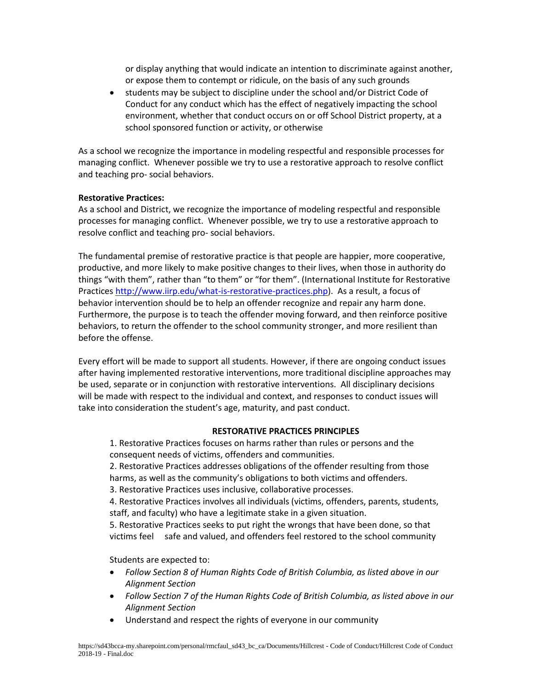or display anything that would indicate an intention to discriminate against another, or expose them to contempt or ridicule, on the basis of any such grounds

• students may be subject to discipline under the school and/or District Code of Conduct for any conduct which has the effect of negatively impacting the school environment, whether that conduct occurs on or off School District property, at a school sponsored function or activity, or otherwise

As a school we recognize the importance in modeling respectful and responsible processes for managing conflict. Whenever possible we try to use a restorative approach to resolve conflict and teaching pro- social behaviors.

#### **Restorative Practices:**

As a school and District, we recognize the importance of modeling respectful and responsible processes for managing conflict. Whenever possible, we try to use a restorative approach to resolve conflict and teaching pro- social behaviors.

The fundamental premise of restorative practice is that people are happier, more cooperative, productive, and more likely to make positive changes to their lives, when those in authority do things "with them", rather than "to them" or "for them". (International Institute for Restorative Practice[s http://www.iirp.edu/what-is-restorative-practices.php\)](http://www.iirp.edu/what-is-restorative-practices.php). As a result, a focus of behavior intervention should be to help an offender recognize and repair any harm done. Furthermore, the purpose is to teach the offender moving forward, and then reinforce positive behaviors, to return the offender to the school community stronger, and more resilient than before the offense.

Every effort will be made to support all students. However, if there are ongoing conduct issues after having implemented restorative interventions, more traditional discipline approaches may be used, separate or in conjunction with restorative interventions. All disciplinary decisions will be made with respect to the individual and context, and responses to conduct issues will take into consideration the student's age, maturity, and past conduct.

#### **RESTORATIVE PRACTICES PRINCIPLES**

1. Restorative Practices focuses on harms rather than rules or persons and the consequent needs of victims, offenders and communities.

2. Restorative Practices addresses obligations of the offender resulting from those harms, as well as the community's obligations to both victims and offenders.

3. Restorative Practices uses inclusive, collaborative processes.

4. Restorative Practices involves all individuals (victims, offenders, parents, students, staff, and faculty) who have a legitimate stake in a given situation.

5. Restorative Practices seeks to put right the wrongs that have been done, so that victims feel safe and valued, and offenders feel restored to the school community

Students are expected to:

- *Follow Section 8 of Human Rights Code of British Columbia, as listed above in our Alignment Section*
- *Follow Section 7 of the Human Rights Code of British Columbia, as listed above in our Alignment Section*
- Understand and respect the rights of everyone in our community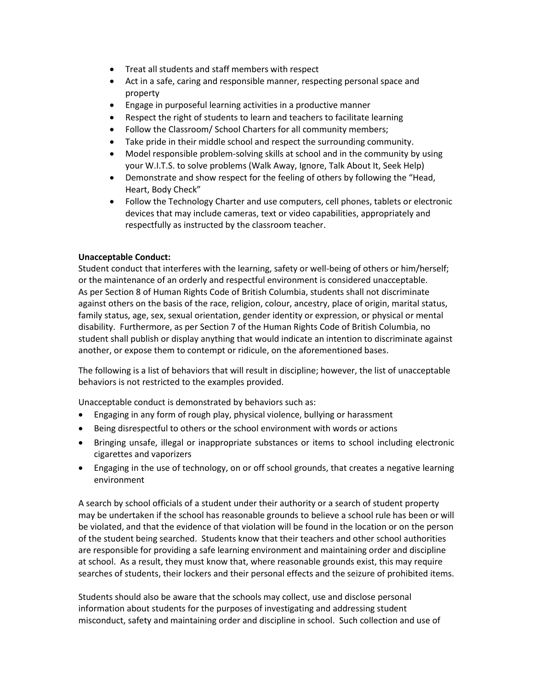- Treat all students and staff members with respect
- Act in a safe, caring and responsible manner, respecting personal space and property
- Engage in purposeful learning activities in a productive manner
- Respect the right of students to learn and teachers to facilitate learning
- Follow the Classroom/ School Charters for all community members;
- Take pride in their middle school and respect the surrounding community.
- Model responsible problem-solving skills at school and in the community by using your W.I.T.S. to solve problems (Walk Away, Ignore, Talk About It, Seek Help)
- Demonstrate and show respect for the feeling of others by following the "Head, Heart, Body Check"
- Follow the Technology Charter and use computers, cell phones, tablets or electronic devices that may include cameras, text or video capabilities, appropriately and respectfully as instructed by the classroom teacher.

#### **Unacceptable Conduct:**

Student conduct that interferes with the learning, safety or well-being of others or him/herself; or the maintenance of an orderly and respectful environment is considered unacceptable. As per Section 8 of Human Rights Code of British Columbia, students shall not discriminate against others on the basis of the race, religion, colour, ancestry, place of origin, marital status, family status, age, sex, sexual orientation, gender identity or expression, or physical or mental disability. Furthermore, as per Section 7 of the Human Rights Code of British Columbia, no student shall publish or display anything that would indicate an intention to discriminate against another, or expose them to contempt or ridicule, on the aforementioned bases.

The following is a list of behaviors that will result in discipline; however, the list of unacceptable behaviors is not restricted to the examples provided.

Unacceptable conduct is demonstrated by behaviors such as:

- Engaging in any form of rough play, physical violence, bullying or harassment
- Being disrespectful to others or the school environment with words or actions
- Bringing unsafe, illegal or inappropriate substances or items to school including electronic cigarettes and vaporizers
- Engaging in the use of technology, on or off school grounds, that creates a negative learning environment

A search by school officials of a student under their authority or a search of student property may be undertaken if the school has reasonable grounds to believe a school rule has been or will be violated, and that the evidence of that violation will be found in the location or on the person of the student being searched. Students know that their teachers and other school authorities are responsible for providing a safe learning environment and maintaining order and discipline at school. As a result, they must know that, where reasonable grounds exist, this may require searches of students, their lockers and their personal effects and the seizure of prohibited items.

Students should also be aware that the schools may collect, use and disclose personal information about students for the purposes of investigating and addressing student misconduct, safety and maintaining order and discipline in school. Such collection and use of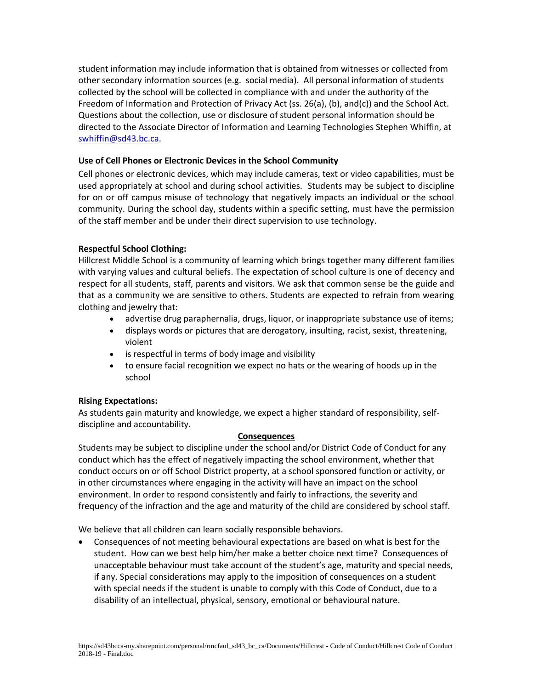student information may include information that is obtained from witnesses or collected from other secondary information sources (e.g. social media). All personal information of students collected by the school will be collected in compliance with and under the authority of the Freedom of Information and Protection of Privacy Act (ss. 26(a), (b), and(c)) and the School Act. Questions about the collection, use or disclosure of student personal information should be directed to the Associate Director of Information and Learning Technologies Stephen Whiffin, at [swhiffin@sd43.bc.ca.](mailto:swhiffin@sd43.bc.ca)

#### **Use of Cell Phones or Electronic Devices in the School Community**

Cell phones or electronic devices, which may include cameras, text or video capabilities, must be used appropriately at school and during school activities. Students may be subject to discipline for on or off campus misuse of technology that negatively impacts an individual or the school community. During the school day, students within a specific setting, must have the permission of the staff member and be under their direct supervision to use technology.

#### **Respectful School Clothing:**

Hillcrest Middle School is a community of learning which brings together many different families with varying values and cultural beliefs. The expectation of school culture is one of decency and respect for all students, staff, parents and visitors. We ask that common sense be the guide and that as a community we are sensitive to others. Students are expected to refrain from wearing clothing and jewelry that:

- advertise drug paraphernalia, drugs, liquor, or inappropriate substance use of items;
- displays words or pictures that are derogatory, insulting, racist, sexist, threatening, violent
- is respectful in terms of body image and visibility
- to ensure facial recognition we expect no hats or the wearing of hoods up in the school

#### **Rising Expectations:**

As students gain maturity and knowledge, we expect a higher standard of responsibility, selfdiscipline and accountability.

#### **Consequences**

Students may be subject to discipline under the school and/or District Code of Conduct for any conduct which has the effect of negatively impacting the school environment, whether that conduct occurs on or off School District property, at a school sponsored function or activity, or in other circumstances where engaging in the activity will have an impact on the school environment. In order to respond consistently and fairly to infractions, the severity and frequency of the infraction and the age and maturity of the child are considered by school staff.

We believe that all children can learn socially responsible behaviors.

• Consequences of not meeting behavioural expectations are based on what is best for the student. How can we best help him/her make a better choice next time? Consequences of unacceptable behaviour must take account of the student's age, maturity and special needs, if any. Special considerations may apply to the imposition of consequences on a student with special needs if the student is unable to comply with this Code of Conduct, due to a disability of an intellectual, physical, sensory, emotional or behavioural nature.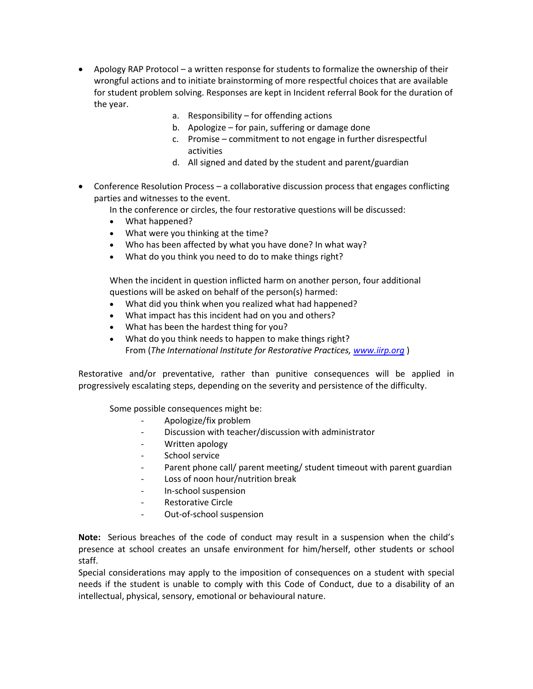- Apology RAP Protocol a written response for students to formalize the ownership of their wrongful actions and to initiate brainstorming of more respectful choices that are available for student problem solving. Responses are kept in Incident referral Book for the duration of the year.
	- a. Responsibility for offending actions
	- b. Apologize for pain, suffering or damage done
	- c. Promise commitment to not engage in further disrespectful activities
	- d. All signed and dated by the student and parent/guardian
- Conference Resolution Process a collaborative discussion process that engages conflicting parties and witnesses to the event.
	- In the conference or circles, the four restorative questions will be discussed:
	- What happened?
	- What were you thinking at the time?
	- Who has been affected by what you have done? In what way?
	- What do you think you need to do to make things right?

When the incident in question inflicted harm on another person, four additional questions will be asked on behalf of the person(s) harmed:

- What did you think when you realized what had happened?
- What impact has this incident had on you and others?
- What has been the hardest thing for you?
- What do you think needs to happen to make things right? From (*The International Institute for Restorative Practices, [www.iirp.org](http://www.iirp.org/)* )

Restorative and/or preventative, rather than punitive consequences will be applied in progressively escalating steps, depending on the severity and persistence of the difficulty.

Some possible consequences might be:

- Apologize/fix problem
- Discussion with teacher/discussion with administrator
- Written apology
- School service
- Parent phone call/ parent meeting/ student timeout with parent guardian
- Loss of noon hour/nutrition break
- In-school suspension
- Restorative Circle
- Out-of-school suspension

**Note:** Serious breaches of the code of conduct may result in a suspension when the child's presence at school creates an unsafe environment for him/herself, other students or school staff.

Special considerations may apply to the imposition of consequences on a student with special needs if the student is unable to comply with this Code of Conduct, due to a disability of an intellectual, physical, sensory, emotional or behavioural nature.